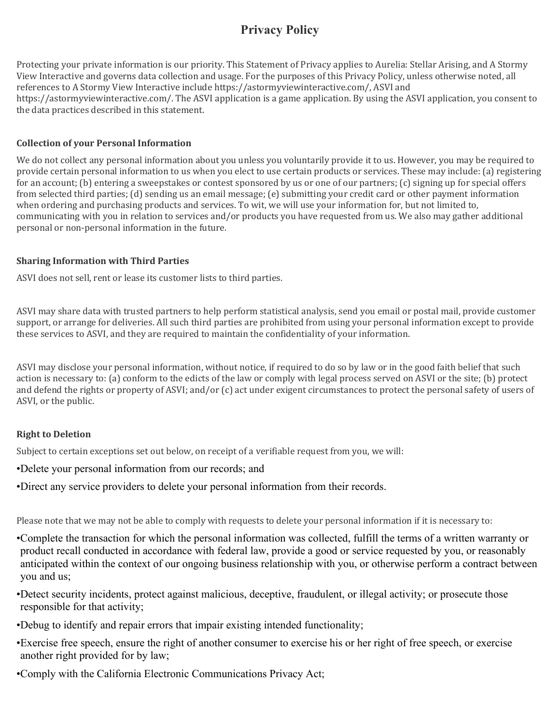# **Privacy Policy**

Protecting your private information is our priority. This Statement of Privacy applies to Aurelia: Stellar Arising, and A Stormy View Interactive and governs data collection and usage. For the purposes of this Privacy Policy, unless otherwise noted, all references to A Stormy View Interactive include https://astormyviewinteractive.com/, ASVI and https://astormyviewinteractive.com/. The ASVI application is a game application. By using the ASVI application, you consent to the data practices described in this statement.

# **Collection of your Personal Information**

We do not collect any personal information about you unless you voluntarily provide it to us. However, you may be required to provide certain personal information to us when you elect to use certain products or services. These may include: (a) registering for an account; (b) entering a sweepstakes or contest sponsored by us or one of our partners; (c) signing up for special offers from selected third parties; (d) sending us an email message; (e) submitting your credit card or other payment information when ordering and purchasing products and services. To wit, we will use your information for, but not limited to, communicating with you in relation to services and/or products you have requested from us. We also may gather additional personal or non-personal information in the future.

# **Sharing Information with Third Parties**

ASVI does not sell, rent or lease its customer lists to third parties.

ASVI may share data with trusted partners to help perform statistical analysis, send you email or postal mail, provide customer support, or arrange for deliveries. All such third parties are prohibited from using your personal information except to provide these services to ASVI, and they are required to maintain the confidentiality of your information.

ASVI may disclose your personal information, without notice, if required to do so by law or in the good faith belief that such action is necessary to: (a) conform to the edicts of the law or comply with legal process served on ASVI or the site; (b) protect and defend the rights or property of ASVI; and/or (c) act under exigent circumstances to protect the personal safety of users of ASVI, or the public.

# **Right to Deletion**

Subject to certain exceptions set out below, on receipt of a verifiable request from you, we will:

- •Delete your personal information from our records; and
- •Direct any service providers to delete your personal information from their records.

Please note that we may not be able to comply with requests to delete your personal information if it is necessary to:

- •Complete the transaction for which the personal information was collected, fulfill the terms of a written warranty or product recall conducted in accordance with federal law, provide a good or service requested by you, or reasonably anticipated within the context of our ongoing business relationship with you, or otherwise perform a contract between you and us;
- •Detect security incidents, protect against malicious, deceptive, fraudulent, or illegal activity; or prosecute those responsible for that activity;
- •Debug to identify and repair errors that impair existing intended functionality;
- •Exercise free speech, ensure the right of another consumer to exercise his or her right of free speech, or exercise another right provided for by law;
- •Comply with the California Electronic Communications Privacy Act;